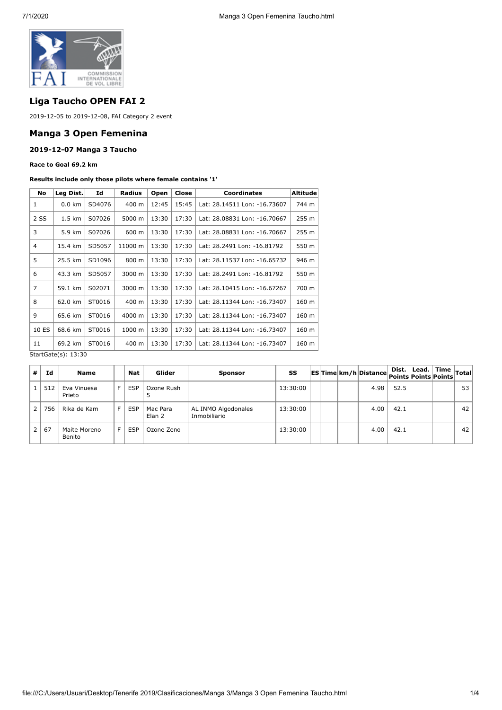

# **Liga Taucho OPEN FAI 2**

2019-12-05 to 2019-12-08, FAI Category 2 event

## **Manga 3 Open Femenina**

### **2019-12-07 Manga 3 Taucho**

**Race to Goal 69.2 km**

#### **Results include only those pilots where female contains '1'**

| Leg Dist.                          | Id     | <b>Radius</b>        | Open  | Close | <b>Coordinates</b>           | Altitude         |  |  |
|------------------------------------|--------|----------------------|-------|-------|------------------------------|------------------|--|--|
| $0.0 \text{ km}$                   | SD4076 | 400 m                | 12:45 | 15:45 | Lat: 28.14511 Lon: -16.73607 | 744 m            |  |  |
| 2 SS<br>$1.5 \text{ km}$<br>S07026 |        | 5000 m               | 13:30 | 17:30 | Lat: 28.08831 Lon: -16.70667 | 255 <sub>m</sub> |  |  |
| 3<br>5.9 km<br>S07026              |        | 600 m                | 13:30 | 17:30 | Lat: 28.08831 Lon: -16.70667 | 255 m            |  |  |
| 15.4 km                            | SD5057 | 11000 m              | 13:30 | 17:30 | Lat: 28.2491 Lon: -16.81792  | 550 m            |  |  |
| 25.5 km                            | SD1096 | 800 m                | 13:30 | 17:30 | Lat: 28.11537 Lon: -16.65732 | 946 m            |  |  |
| 43.3 km                            | SD5057 | 3000 m               | 13:30 | 17:30 | Lat: 28.2491 Lon: -16.81792  | 550 m            |  |  |
| 59.1 km                            | S02071 | 3000 m               | 13:30 | 17:30 | Lat: 28.10415 Lon: -16.67267 | 700 m            |  |  |
| 62.0 km                            | ST0016 | 400 m                | 13:30 | 17:30 | Lat: 28.11344 Lon: -16.73407 | 160 m            |  |  |
| 65.6 km                            | ST0016 | 4000 m               | 13:30 | 17:30 | Lat: 28.11344 Lon: -16.73407 | 160 m            |  |  |
| 68.6 km                            | ST0016 | 1000 m               | 13:30 | 17:30 | Lat: 28.11344 Lon: -16.73407 | 160 m            |  |  |
| 69.2 km                            | ST0016 | 400 m                | 13:30 | 17:30 | Lat: 28.11344 Lon: -16.73407 | 160 m            |  |  |
|                                    |        | $C+2+C+2(2)$ , 12,20 |       |       |                              |                  |  |  |

StartGate(s): 13:30

| #              | Id  | <b>Name</b>            |    | Nat        | Glider             | <b>Sponsor</b>                      | SS       |  | ESTime km/h Distance Points Points Points ' | Dist. | $\therefore$   Lead.   Time $ $ Total <sup>!</sup> |    |
|----------------|-----|------------------------|----|------------|--------------------|-------------------------------------|----------|--|---------------------------------------------|-------|----------------------------------------------------|----|
|                | 512 | Eva Vinuesa<br>Prieto  | F. | <b>ESP</b> | Ozone Rush         |                                     | 13:30:00 |  | 4.98                                        | 52.5  |                                                    | 53 |
| 2 <sup>1</sup> | 756 | Rika de Kam            | F. | <b>ESP</b> | Mac Para<br>Elan 2 | AL INMO Algodonales<br>Inmobiliario | 13:30:00 |  | 4.00                                        | 42.1  |                                                    | 42 |
| 2 <sup>1</sup> | 67  | Maite Moreno<br>Benito | F. | <b>ESP</b> | Ozone Zeno         |                                     | 13:30:00 |  | 4.00                                        | 42.1  |                                                    | 42 |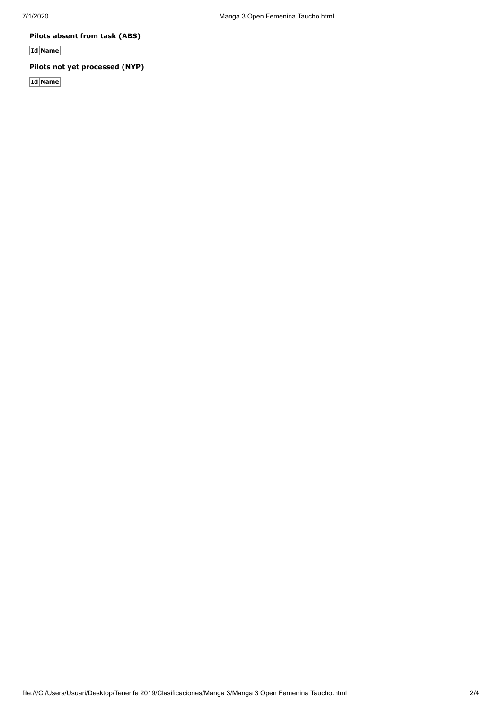**Pilots absent from task (ABS)**

**Id Name**

# **Pilots not yet processed (NYP)**

**Id Name**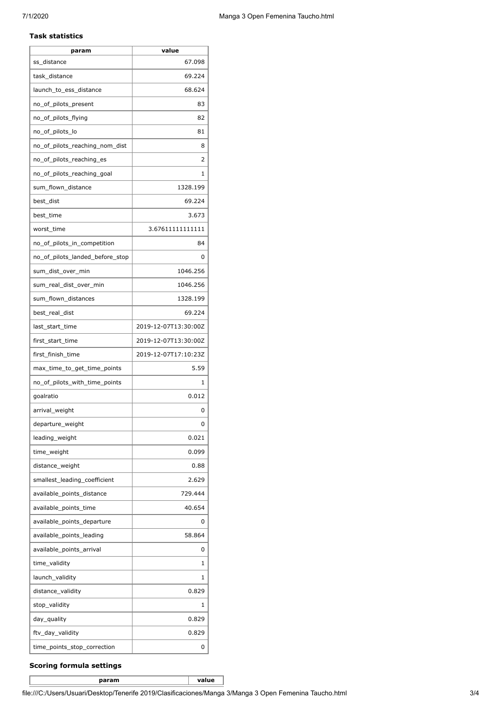#### **Task statistics**

| param                           | value                |
|---------------------------------|----------------------|
| ss_distance                     | 67.098               |
| task_distance                   | 69.224               |
| launch_to_ess_distance          | 68.624               |
| no_of_pilots_present            | 83                   |
| no_of_pilots_flying             | 82                   |
| no_of_pilots_lo                 | 81                   |
| no_of_pilots_reaching_nom_dist  | 8                    |
| no_of_pilots_reaching_es        | 2                    |
| no_of_pilots_reaching_goal      | 1                    |
| sum_flown_distance              | 1328.199             |
| best_dist                       | 69.224               |
| best_time                       | 3.673                |
| worst_time                      | 3.67611111111111     |
| no_of_pilots_in_competition     | 84                   |
| no of pilots landed before stop | 0                    |
| sum_dist_over_min               | 1046.256             |
| sum_real_dist_over_min          | 1046.256             |
| sum_flown_distances             | 1328.199             |
| best_real_dist                  | 69.224               |
| last_start_time                 | 2019-12-07T13:30:00Z |
| first_start_time                | 2019-12-07T13:30:00Z |
| first_finish_time               | 2019-12-07T17:10:23Z |
| max_time_to_get_time_points     | 5.59                 |
| no_of_pilots_with_time_points   | $\mathbf{1}$         |
| goalratio                       | 0.012                |
| arrival_weight                  | 0                    |
| departure_weight                | 0                    |
| leading_weight                  | 0.021                |
| time_weight                     | 0.099                |
| distance_weight                 | 0.88                 |
| smallest_leading_coefficient    | 2.629                |
| available_points_distance       | 729.444              |
| available_points_time           | 40.654               |
| available_points_departure      | 0                    |
| available_points_leading        | 58.864               |
| available_points_arrival        | 0                    |
| time_validity                   | 1                    |
| launch_validity                 | 1                    |
| distance_validity               | 0.829                |
| stop_validity                   | 1                    |
| day_quality                     | 0.829                |
| ftv_day_validity                | 0.829                |
| time_points_stop_correction     | 0                    |

## **Scoring formula settings**

**param value**